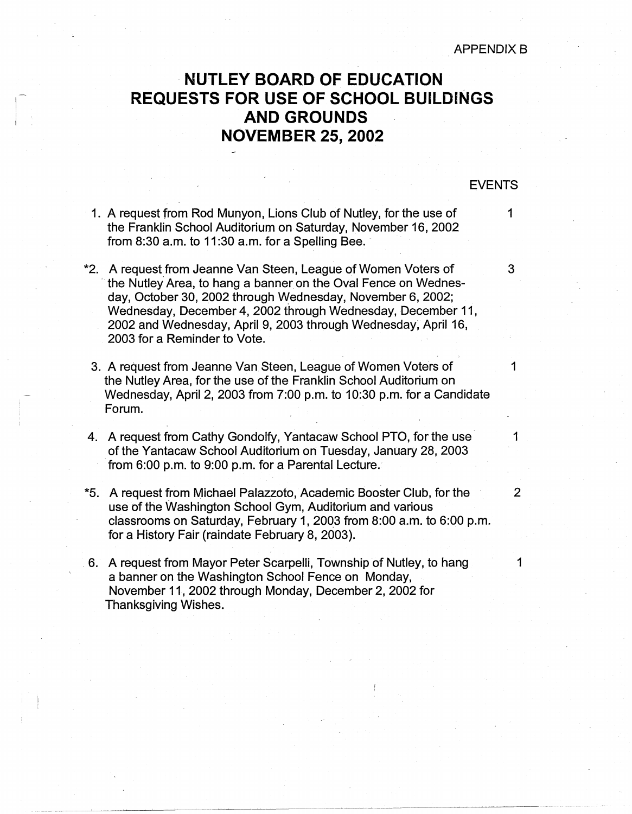## **APPENDIX B**

## **NUTLEY BOARD OF EDUCATION REQUESTS FOR USE OF SCHOOL BUILDINGS AND GROUNDS NOVEMBER 25, 2002**

## EVENTS

- 1. A request from Rod Munyon, Lions Club of Nutley, for the use of 1 the Franklin School Auditorium on Saturday, November 16, 2002 from  $8:30$  a.m. to  $11:30$  a.m. for a Spelling Bee.
- \*2. A request from Jeanne Van Steen, League of Women Voters of 3 the Nutley Area, to hang a banner on the Oval Fence on Wednesday, October 30, 2002 through Wednesday, November 6, 2002; Wednesday, December 4, 2002 through Wednesday, December 11, 2002 and Wednesday, April 9, 2003 through Wednesday; April 16, 2003 for a Reminder to Vote.
	- 3. A request from Jeanne Van Steen, League of Women Voters of 1 the Nutley Area, for the use of the Franklin School Auditorium on Wednesday, April 2, 2003 from 7:00 p.m. to 10:30 p.m. for a Candidate Forum.
- 4. A request from Cathy Gondolfy, Yantacaw School PTO, for the use 1 of the Yantacaw School Auditorium on Tuesday, January 28, 2003 from 6:00 p.m. to 9:00 p.m. for a Parental Lecture.
- \*5. A request from Michael Palazzoto, Academic Booster Club, for the 2 use of the Washington School Gym, Auditorium and various classrooms on Saturday, February 1, 2003 from 8:00 a.m. to 6:00 p.m. for a History Fair (raindate February 8, 2003) .
- . 6. A request from Mayor Peter Scarpelli, Township of Nutley, to hang 1 a banner on the Washington School Fence on Monday, November 11, 2002 through Monday, December 2, 2002 for Thanksgiving Wishes.